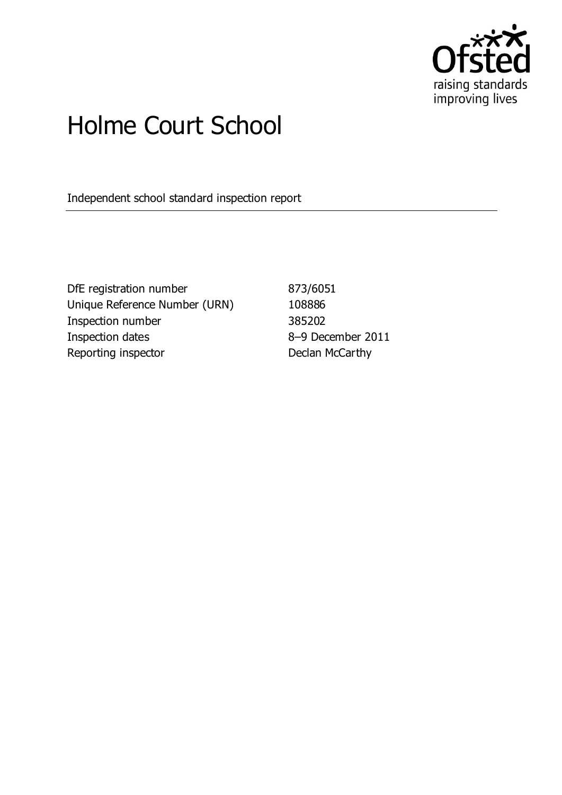

# Holme Court School

Independent school standard inspection report

DfE registration number 873/6051 Unique Reference Number (URN) 108886 Inspection number 385202 Inspection dates 8–9 December 2011 Reporting inspector **Declan McCarthy**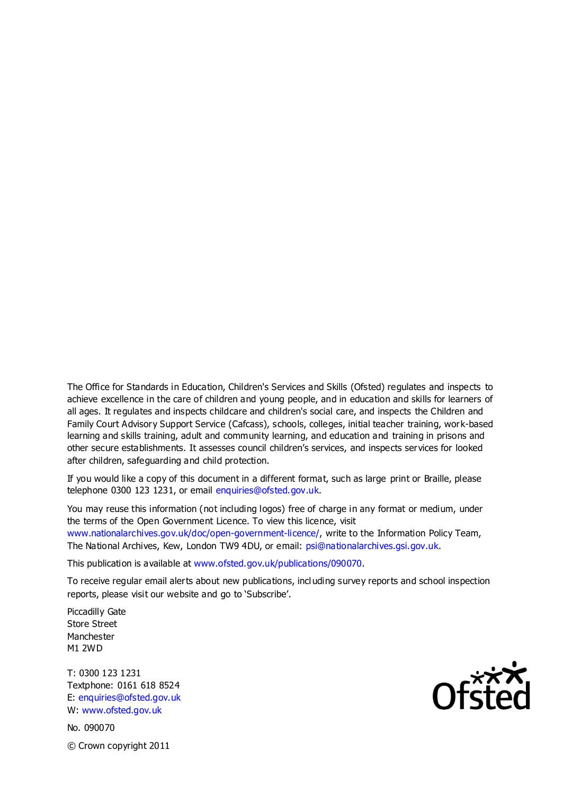The Office for Standards in Education, Children's Services and Skills (Ofsted) regulates and inspects to achieve excellence in the care of children and young people, and in education and skills for learners of all ages. It regulates and inspects childcare and children's social care, and inspects the Children and Family Court Advisory Support Service (Cafcass), schools, colleges, initial teacher training, work-based learning and skills training, adult and community learning, and education and training in prisons and other secure establishments. It assesses council children's services, and inspects services for looked after children, safeguarding and child protection.

If you would like a copy of this document in a different format, such as large print or Braille, please telephone 0300 123 1231, or email enquiries@ofsted.gov.uk.

You may reuse this information (not including logos) free of charge in any format or medium, under the terms of the Open Government Licence. To view this licence, visit www.nationalarchives.gov.uk/doc/open-government-licence/, write to the Information Policy Team, The National Archives, Kew, London TW9 4DU, or email: psi@nationalarchives.gsi.gov.uk.

This publication is available at www.ofsted.gov.uk/publications/090070.

To receive regular email alerts about new publications, incl uding survey reports and school inspection reports, please visit our website and go to 'Subscribe'.

Piccadilly Gate Store Street Manchester M1 2WD

T: 0300 123 1231 Textphone: 0161 618 8524 E: enquiries@ofsted.gov.uk W: www.ofsted.gov.uk

No. 090070 © Crown copyright 2011

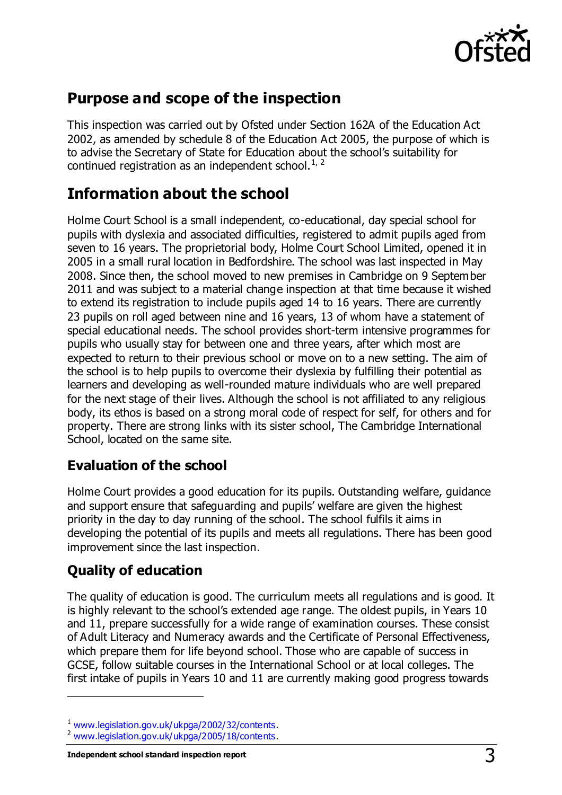

# **Purpose and scope of the inspection**

This inspection was carried out by Ofsted under Section 162A of the Education Act 2002, as amended by schedule 8 of the Education Act 2005, the purpose of which is to advise the Secretary of State for Education about the school's suitability for continued registration as an independent school. $1/2$ 

# **Information about the school**

Holme Court School is a small independent, co-educational, day special school for pupils with dyslexia and associated difficulties, registered to admit pupils aged from seven to 16 years. The proprietorial body, Holme Court School Limited, opened it in 2005 in a small rural location in Bedfordshire. The school was last inspected in May 2008. Since then, the school moved to new premises in Cambridge on 9 September 2011 and was subject to a material change inspection at that time because it wished to extend its registration to include pupils aged 14 to 16 years. There are currently 23 pupils on roll aged between nine and 16 years, 13 of whom have a statement of special educational needs. The school provides short-term intensive programmes for pupils who usually stay for between one and three years, after which most are expected to return to their previous school or move on to a new setting. The aim of the school is to help pupils to overcome their dyslexia by fulfilling their potential as learners and developing as well-rounded mature individuals who are well prepared for the next stage of their lives. Although the school is not affiliated to any religious body, its ethos is based on a strong moral code of respect for self, for others and for property. There are strong links with its sister school, The Cambridge International School, located on the same site.

# **Evaluation of the school**

Holme Court provides a good education for its pupils. Outstanding welfare, guidance and support ensure that safeguarding and pupils' welfare are given the highest priority in the day to day running of the school. The school fulfils it aims in developing the potential of its pupils and meets all regulations. There has been good improvement since the last inspection.

# **Quality of education**

 $\overline{a}$ 

The quality of education is good. The curriculum meets all regulations and is good. It is highly relevant to the school's extended age range. The oldest pupils, in Years 10 and 11, prepare successfully for a wide range of examination courses. These consist of Adult Literacy and Numeracy awards and the Certificate of Personal Effectiveness, which prepare them for life beyond school. Those who are capable of success in GCSE, follow suitable courses in the International School or at local colleges. The first intake of pupils in Years 10 and 11 are currently making good progress towards

<sup>1</sup> [www.legislation.gov.uk/ukpga/2002/32/contents.](http://www.legislation.gov.uk/ukpga/2002/32/contents)

<sup>&</sup>lt;sup>2</sup> [www.legislation.gov.uk/ukpga/2005/18/contents.](http://www.legislation.gov.uk/ukpga/2005/18/contents)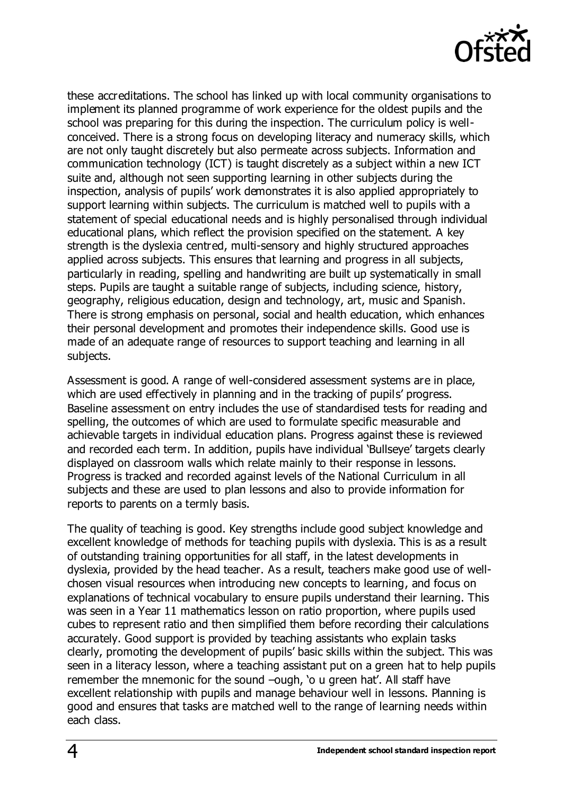

these accreditations. The school has linked up with local community organisations to implement its planned programme of work experience for the oldest pupils and the school was preparing for this during the inspection. The curriculum policy is wellconceived. There is a strong focus on developing literacy and numeracy skills, which are not only taught discretely but also permeate across subjects. Information and communication technology (ICT) is taught discretely as a subject within a new ICT suite and, although not seen supporting learning in other subjects during the inspection, analysis of pupils' work demonstrates it is also applied appropriately to support learning within subjects. The curriculum is matched well to pupils with a statement of special educational needs and is highly personalised through individual educational plans, which reflect the provision specified on the statement. A key strength is the dyslexia centred, multi-sensory and highly structured approaches applied across subjects. This ensures that learning and progress in all subjects, particularly in reading, spelling and handwriting are built up systematically in small steps. Pupils are taught a suitable range of subjects, including science, history, geography, religious education, design and technology, art, music and Spanish. There is strong emphasis on personal, social and health education, which enhances their personal development and promotes their independence skills. Good use is made of an adequate range of resources to support teaching and learning in all subjects.

Assessment is good. A range of well-considered assessment systems are in place, which are used effectively in planning and in the tracking of pupils' progress. Baseline assessment on entry includes the use of standardised tests for reading and spelling, the outcomes of which are used to formulate specific measurable and achievable targets in individual education plans. Progress against these is reviewed and recorded each term. In addition, pupils have individual 'Bullseye' targets clearly displayed on classroom walls which relate mainly to their response in lessons. Progress is tracked and recorded against levels of the National Curriculum in all subjects and these are used to plan lessons and also to provide information for reports to parents on a termly basis.

The quality of teaching is good. Key strengths include good subject knowledge and excellent knowledge of methods for teaching pupils with dyslexia. This is as a result of outstanding training opportunities for all staff, in the latest developments in dyslexia, provided by the head teacher. As a result, teachers make good use of wellchosen visual resources when introducing new concepts to learning, and focus on explanations of technical vocabulary to ensure pupils understand their learning. This was seen in a Year 11 mathematics lesson on ratio proportion, where pupils used cubes to represent ratio and then simplified them before recording their calculations accurately. Good support is provided by teaching assistants who explain tasks clearly, promoting the development of pupils' basic skills within the subject. This was seen in a literacy lesson, where a teaching assistant put on a green hat to help pupils remember the mnemonic for the sound –ough, 'o u green hat'. All staff have excellent relationship with pupils and manage behaviour well in lessons. Planning is good and ensures that tasks are matched well to the range of learning needs within each class.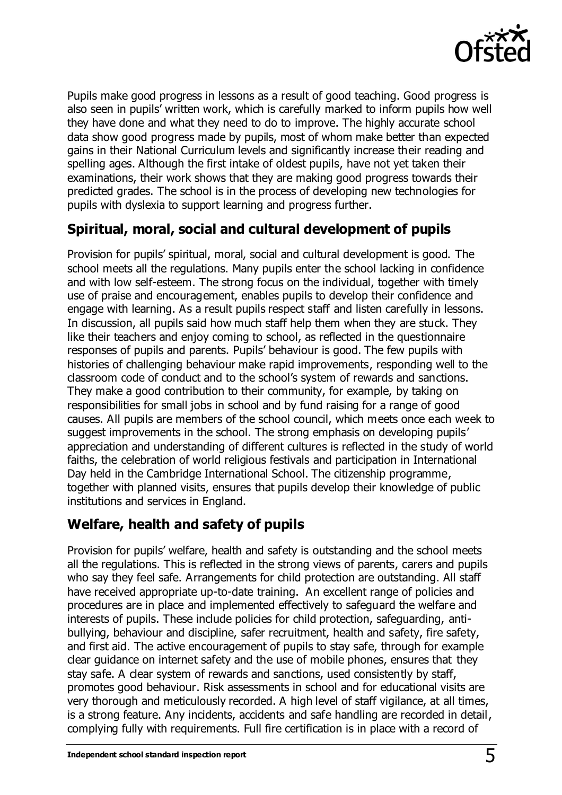

Pupils make good progress in lessons as a result of good teaching. Good progress is also seen in pupils' written work, which is carefully marked to inform pupils how well they have done and what they need to do to improve. The highly accurate school data show good progress made by pupils, most of whom make better than expected gains in their National Curriculum levels and significantly increase their reading and spelling ages. Although the first intake of oldest pupils, have not yet taken their examinations, their work shows that they are making good progress towards their predicted grades. The school is in the process of developing new technologies for pupils with dyslexia to support learning and progress further.

# **Spiritual, moral, social and cultural development of pupils**

Provision for pupils' spiritual, moral, social and cultural development is good. The school meets all the regulations. Many pupils enter the school lacking in confidence and with low self-esteem. The strong focus on the individual, together with timely use of praise and encouragement, enables pupils to develop their confidence and engage with learning. As a result pupils respect staff and listen carefully in lessons. In discussion, all pupils said how much staff help them when they are stuck. They like their teachers and enjoy coming to school, as reflected in the questionnaire responses of pupils and parents. Pupils' behaviour is good. The few pupils with histories of challenging behaviour make rapid improvements, responding well to the classroom code of conduct and to the school's system of rewards and sanctions. They make a good contribution to their community, for example, by taking on responsibilities for small jobs in school and by fund raising for a range of good causes. All pupils are members of the school council, which meets once each week to suggest improvements in the school. The strong emphasis on developing pupils' appreciation and understanding of different cultures is reflected in the study of world faiths, the celebration of world religious festivals and participation in International Day held in the Cambridge International School. The citizenship programme, together with planned visits, ensures that pupils develop their knowledge of public institutions and services in England.

# **Welfare, health and safety of pupils**

Provision for pupils' welfare, health and safety is outstanding and the school meets all the regulations. This is reflected in the strong views of parents, carers and pupils who say they feel safe. Arrangements for child protection are outstanding. All staff have received appropriate up-to-date training. An excellent range of policies and procedures are in place and implemented effectively to safeguard the welfare and interests of pupils. These include policies for child protection, safeguarding, antibullying, behaviour and discipline, safer recruitment, health and safety, fire safety, and first aid. The active encouragement of pupils to stay safe, through for example clear guidance on internet safety and the use of mobile phones, ensures that they stay safe. A clear system of rewards and sanctions, used consistently by staff, promotes good behaviour. Risk assessments in school and for educational visits are very thorough and meticulously recorded. A high level of staff vigilance, at all times, is a strong feature. Any incidents, accidents and safe handling are recorded in detail, complying fully with requirements. Full fire certification is in place with a record of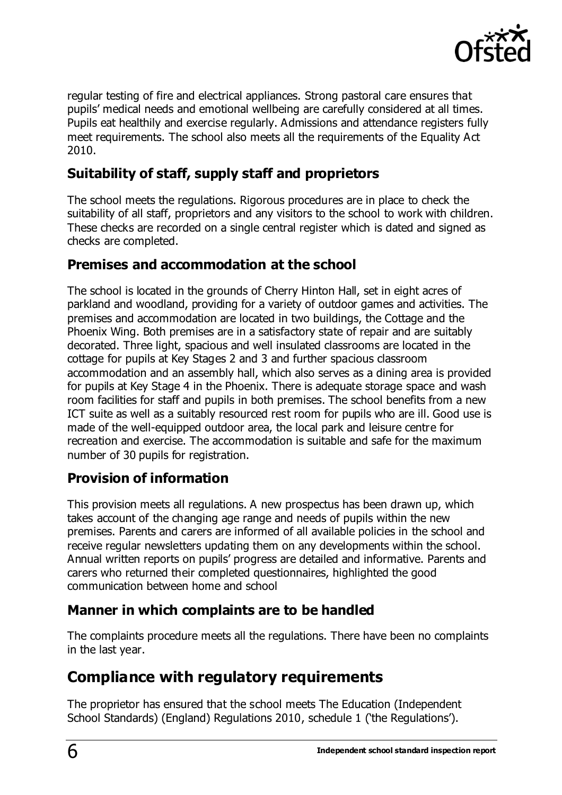

regular testing of fire and electrical appliances. Strong pastoral care ensures that pupils' medical needs and emotional wellbeing are carefully considered at all times. Pupils eat healthily and exercise regularly. Admissions and attendance registers fully meet requirements. The school also meets all the requirements of the Equality Act 2010.

## **Suitability of staff, supply staff and proprietors**

The school meets the regulations. Rigorous procedures are in place to check the suitability of all staff, proprietors and any visitors to the school to work with children. These checks are recorded on a single central register which is dated and signed as checks are completed.

#### **Premises and accommodation at the school**

The school is located in the grounds of Cherry Hinton Hall, set in eight acres of parkland and woodland, providing for a variety of outdoor games and activities. The premises and accommodation are located in two buildings, the Cottage and the Phoenix Wing. Both premises are in a satisfactory state of repair and are suitably decorated. Three light, spacious and well insulated classrooms are located in the cottage for pupils at Key Stages 2 and 3 and further spacious classroom accommodation and an assembly hall, which also serves as a dining area is provided for pupils at Key Stage 4 in the Phoenix. There is adequate storage space and wash room facilities for staff and pupils in both premises. The school benefits from a new ICT suite as well as a suitably resourced rest room for pupils who are ill. Good use is made of the well-equipped outdoor area, the local park and leisure centre for recreation and exercise. The accommodation is suitable and safe for the maximum number of 30 pupils for registration.

### **Provision of information**

This provision meets all regulations. A new prospectus has been drawn up, which takes account of the changing age range and needs of pupils within the new premises. Parents and carers are informed of all available policies in the school and receive regular newsletters updating them on any developments within the school. Annual written reports on pupils' progress are detailed and informative. Parents and carers who returned their completed questionnaires, highlighted the good communication between home and school

#### **Manner in which complaints are to be handled**

The complaints procedure meets all the regulations. There have been no complaints in the last year.

# **Compliance with regulatory requirements**

The proprietor has ensured that the school meets The Education (Independent School Standards) (England) Regulations 2010, schedule 1 ('the Regulations').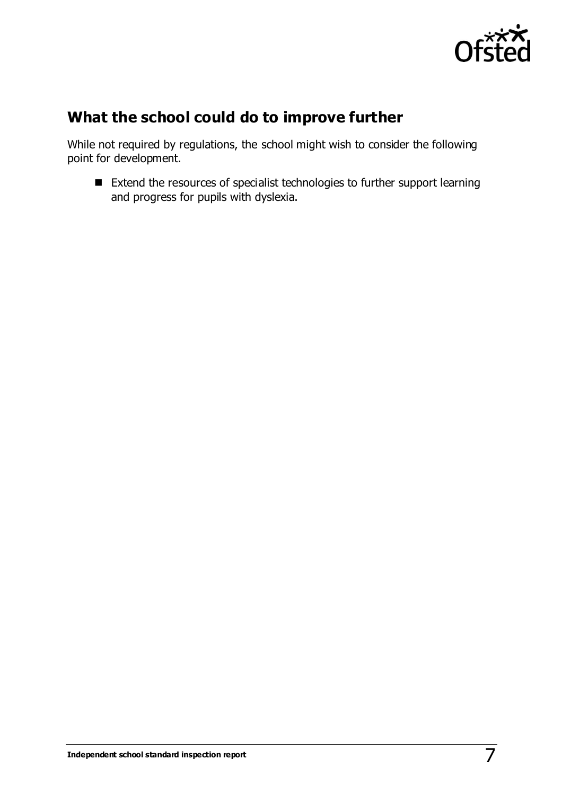

# **What the school could do to improve further**

While not required by regulations, the school might wish to consider the following point for development.

■ Extend the resources of specialist technologies to further support learning and progress for pupils with dyslexia.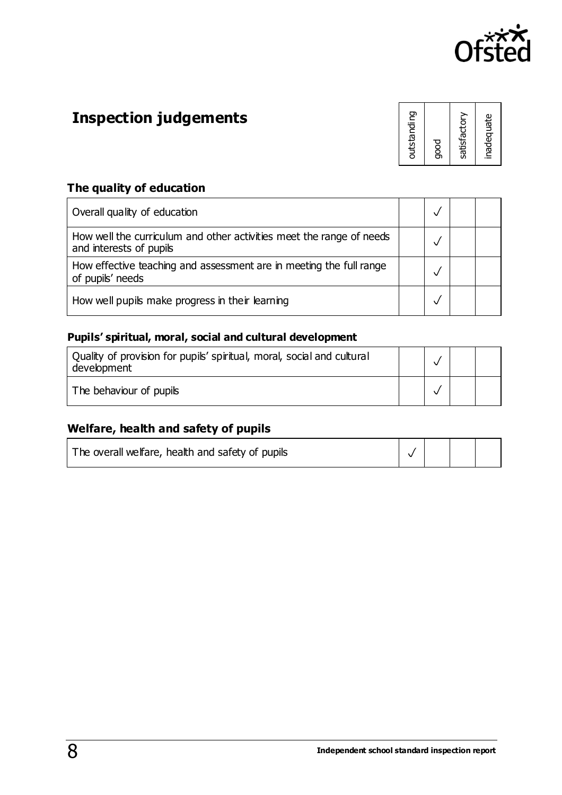

# **Inspection judgements**

| outstanding  |
|--------------|
| good         |
| satisfactory |
| inadequate   |

# **The quality of education**

| Overall quality of education                                                                    |  |  |
|-------------------------------------------------------------------------------------------------|--|--|
| How well the curriculum and other activities meet the range of needs<br>and interests of pupils |  |  |
| How effective teaching and assessment are in meeting the full range<br>of pupils' needs         |  |  |
| How well pupils make progress in their learning                                                 |  |  |

#### **Pupils' spiritual, moral, social and cultural development**

| Quality of provision for pupils' spiritual, moral, social and cultural<br>development |  |  |
|---------------------------------------------------------------------------------------|--|--|
| The behaviour of pupils                                                               |  |  |

#### **Welfare, health and safety of pupils**

|  | The overall welfare, health and safety of pupils |  |  |  |  |
|--|--------------------------------------------------|--|--|--|--|
|--|--------------------------------------------------|--|--|--|--|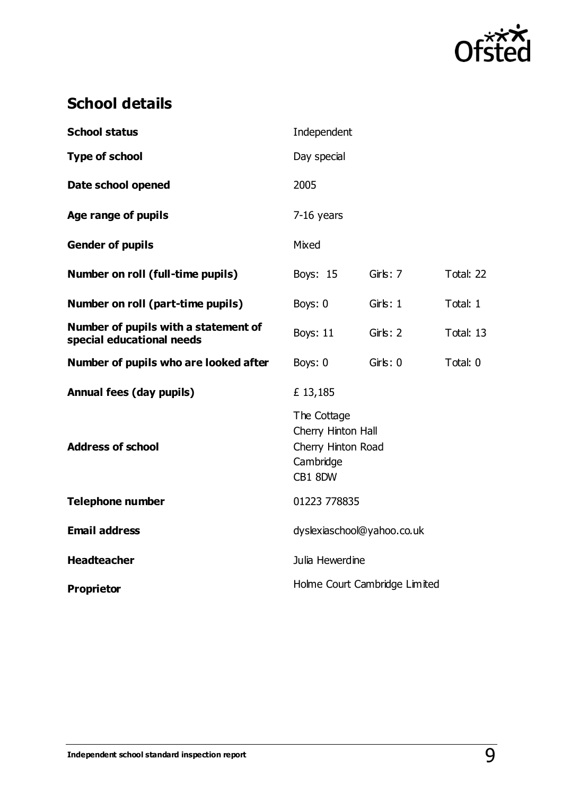

# **School details**

| <b>School status</b>                                              | Independent                                                                     |               |           |  |  |
|-------------------------------------------------------------------|---------------------------------------------------------------------------------|---------------|-----------|--|--|
| <b>Type of school</b>                                             | Day special                                                                     |               |           |  |  |
| Date school opened                                                | 2005                                                                            |               |           |  |  |
| Age range of pupils                                               | $7-16$ years                                                                    |               |           |  |  |
| <b>Gender of pupils</b>                                           | Mixed                                                                           |               |           |  |  |
| Number on roll (full-time pupils)                                 | Boys: 15                                                                        | Girls: 7      | Total: 22 |  |  |
| Number on roll (part-time pupils)                                 | Boys: 0                                                                         | Girls: 1      | Total: 1  |  |  |
| Number of pupils with a statement of<br>special educational needs | <b>Boys: 11</b>                                                                 | Girls: 2      | Total: 13 |  |  |
| Number of pupils who are looked after                             | Boys: 0                                                                         | $G$ irls: $0$ | Total: 0  |  |  |
| <b>Annual fees (day pupils)</b>                                   | £13,185                                                                         |               |           |  |  |
| <b>Address of school</b>                                          | The Cottage<br>Cherry Hinton Hall<br>Cherry Hinton Road<br>Cambridge<br>CB1 8DW |               |           |  |  |
| <b>Telephone number</b>                                           | 01223 778835                                                                    |               |           |  |  |
| <b>Email address</b>                                              | dyslexiaschool@yahoo.co.uk                                                      |               |           |  |  |
| <b>Headteacher</b>                                                | Julia Hewerdine                                                                 |               |           |  |  |
| <b>Proprietor</b>                                                 | Holme Court Cambridge Limited                                                   |               |           |  |  |